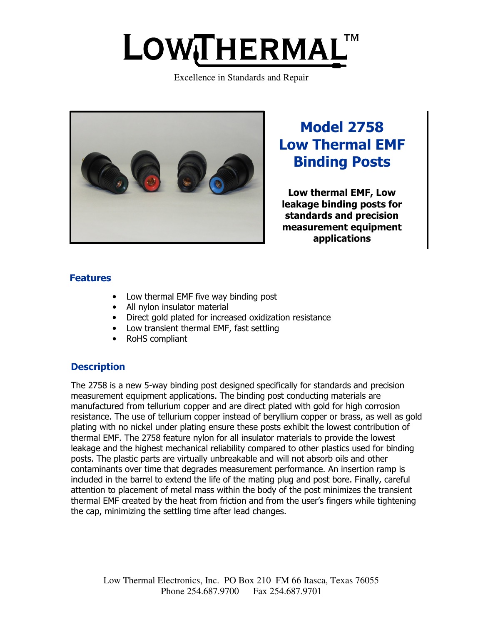# LOWTHERMAL

Excellence in Standards and Repair



Model 2758 Low Thermal EMF Binding Posts

Low thermal EMF, Low leakage binding posts for standards and precision measurement equipment applications

# Features

- Low thermal EMF five way binding post
- All nylon insulator material
- Direct gold plated for increased oxidization resistance
- Low transient thermal EMF, fast settling
- RoHS compliant

# **Description**

The 2758 is a new 5-way binding post designed specifically for standards and precision measurement equipment applications. The binding post conducting materials are manufactured from tellurium copper and are direct plated with gold for high corrosion resistance. The use of tellurium copper instead of beryllium copper or brass, as well as gold plating with no nickel under plating ensure these posts exhibit the lowest contribution of thermal EMF. The 2758 feature nylon for all insulator materials to provide the lowest leakage and the highest mechanical reliability compared to other plastics used for binding posts. The plastic parts are virtually unbreakable and will not absorb oils and other contaminants over time that degrades measurement performance. An insertion ramp is included in the barrel to extend the life of the mating plug and post bore. Finally, careful attention to placement of metal mass within the body of the post minimizes the transient thermal EMF created by the heat from friction and from the user's fingers while tightening the cap, minimizing the settling time after lead changes.